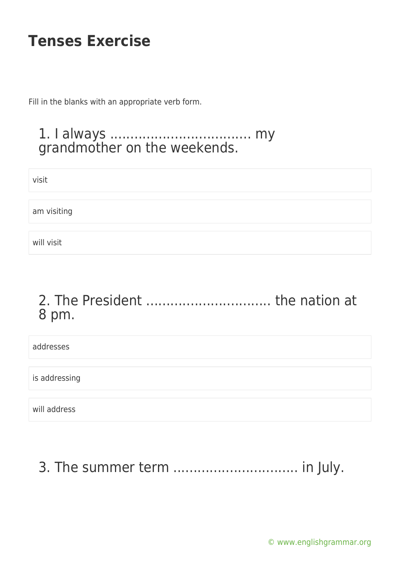Fill in the blanks with an appropriate verb form.

#### 1. I always ................................... my grandmother on the weekends.

visit

am visiting

will visit

#### 2. The President ............................... the nation at 8 pm.

addresses

is addressing

will address

## 3. The summer term ............................... in July.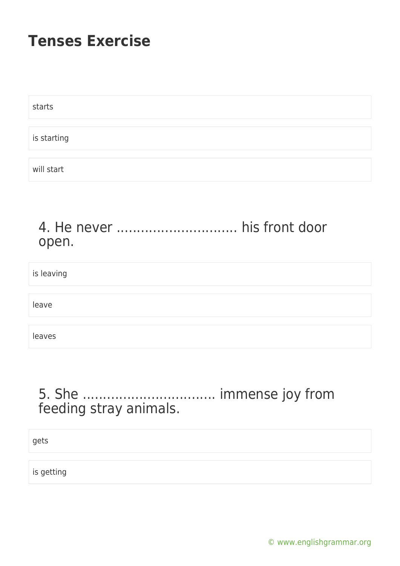| starts      |  |  |  |
|-------------|--|--|--|
|             |  |  |  |
| is starting |  |  |  |
|             |  |  |  |
| will start  |  |  |  |

#### 4. He never .............................. his front door open.

is leaving

leave

leaves

#### 5. She ................................. immense joy from feeding stray animals.

gets

is getting

[© www.englishgrammar.org](https://www.englishgrammar.org/)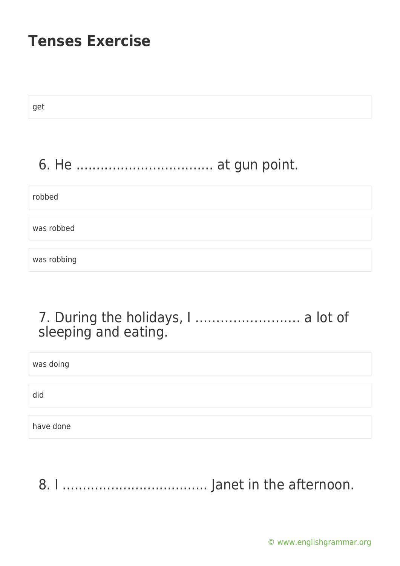get 6. He .................................. at gun point. robbed was robbed was robbing

#### 7. During the holidays, I ……………………. a lot of sleeping and eating.

was doing

did

have done

8. I .................................... Janet in the afternoon.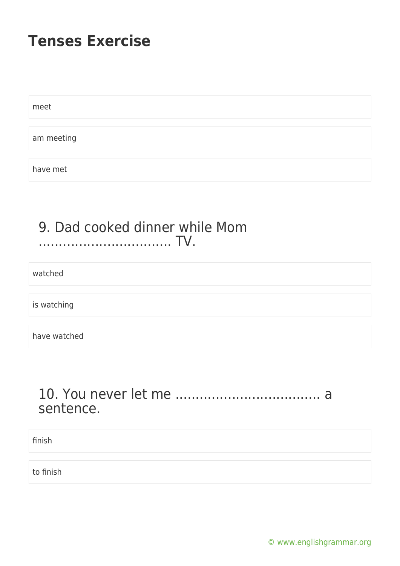meet

am meeting

have met

#### 9. Dad cooked dinner while Mom ................................. TV.

watched

is watching

have watched

#### 10. You never let me .................................... a sentence.

finish

to finish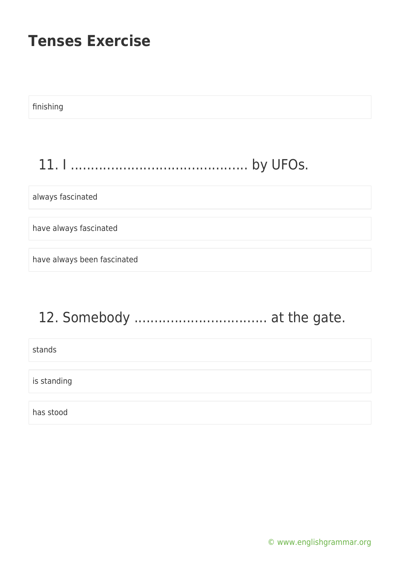finishing

### 11. I ............................................ by UFOs.

always fascinated

have always fascinated

have always been fascinated

# 12. Somebody ................................. at the gate.

stands

is standing

has stood

[© www.englishgrammar.org](https://www.englishgrammar.org/)